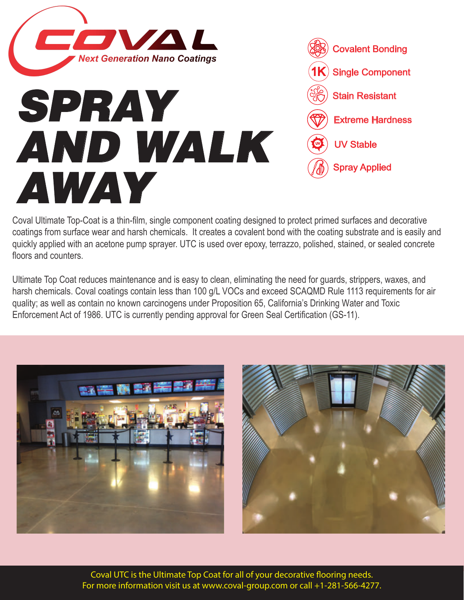

## *SPRAY AND WALK AWAY*

| <b>Covalent Bonding</b>                     |
|---------------------------------------------|
| $\left(\mathbf{1K}\right)$ Single Component |
| $\sigma$ ) Stain Resistant                  |
| <b>Extreme Hardness</b>                     |
| $\bullet$ UV Stable                         |
| $\langle \rangle$ Spray Applied             |
|                                             |

Coval Ultimate Top-Coat is a thin-film, single component coating designed to protect primed surfaces and decorative coatings from surface wear and harsh chemicals. It creates a covalent bond with the coating substrate and is easily and quickly applied with an acetone pump sprayer. UTC is used over epoxy, terrazzo, polished, stained, or sealed concrete floors and counters.

Ultimate Top Coat reduces maintenance and is easy to clean, eliminating the need for guards, strippers, waxes, and harsh chemicals. Coval coatings contain less than 100 g/L VOCs and exceed SCAQMD Rule 1113 requirements for air quality; as well as contain no known carcinogens under Proposition 65, California's Drinking Water and Toxic Enforcement Act of 1986. UTC is currently pending approval for Green Seal Certification (GS-11).





Coval UTC is the Ultimate Top Coat for all of your decorative flooring needs. For more information visit us at www.coval-group.com or call +1-281-566-4277.